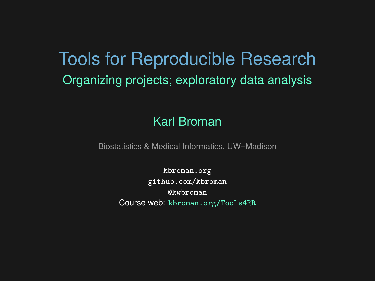# Tools for Reproducible Research Organizing projects; exploratory data analysis

#### Karl Broman

Biostatistics & Medical Informatics, UW–Madison

kbroman.org github.com/kbroman @kwbroman Course web: kbroman.org/Tools4RR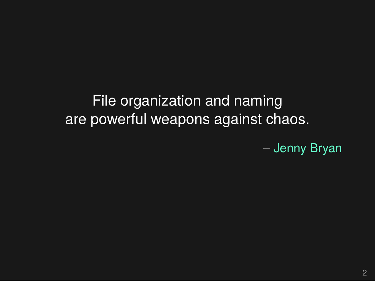File organization and naming are powerful weapons against chaos.

– Jenny Bryan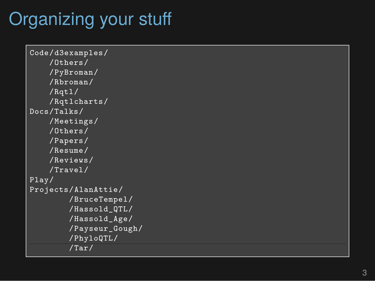# Organizing your stuff

```
Code/d3examples/
    /Others/
    /PyBroman/
    /Rbroman/
    /Rqtl/
    /Rqtlcharts/
Docs/Talks/
    /Meetings/
    /Others/
    /Papers/
    /Resume/
    /Reviews/
    /Travel/
Play/
Projects/AlanAttie/
        /BruceTempel/
        /Hassold_QTL/
        /Hassold_Age/
        /Payseur_Gough/
        /PhyloQTL/
        /Tar/
```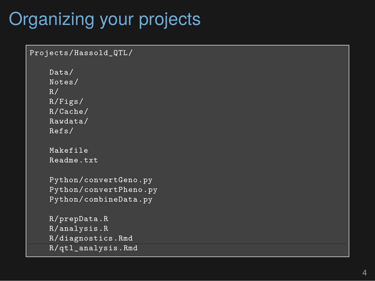## Organizing your projects

```
Projects/Hassold_QTL/
    Data/
    Notes/
    R/R/Figs/
   R/Cache/
    Rawdata/
    Refs/
    Makefile
    Readme.txt
    Python/convertGeno.py
    Python/convertPheno.py
    Python/combineData.py
    R/prepData.R
    R/analysis.R
    R/diagnostics.Rmd
    R/qtl_analysis.Rmd
```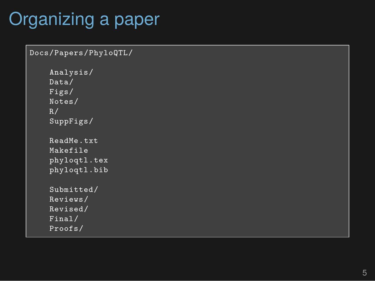## Organizing a paper

```
Docs/Papers/PhyloQTL/
    Analysis/
    Data/
    Figs/
    Notes/
    R/SuppFigs/
    ReadMe.txt
    Makefile
    phyloqtl.tex
    phyloqtl.bib
    Submitted/
    Reviews/
    Revised/
    Final/
    Proofs/
```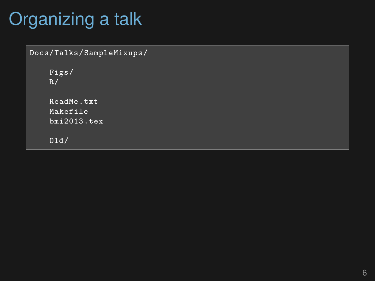# Organizing a talk

```
Docs/Talks/SampleMixups/
    Figs/
    R/ReadMe.txt
    Makefile
    bmi2013.tex
    Old/
```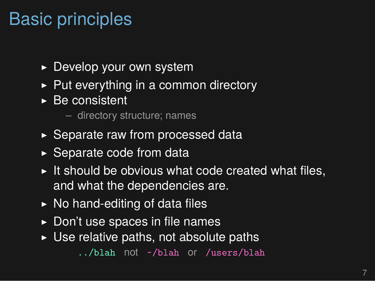#### Basic principles

- ▶ Develop your own system
- $\triangleright$  Put everything in a common directory
- $\triangleright$  Be consistent

– directory structure; names

- ▶ Separate raw from processed data
- $\triangleright$  Separate code from data
- $\triangleright$  It should be obvious what code created what files, and what the dependencies are.
- $\triangleright$  No hand-editing of data files
- $\triangleright$  Don't use spaces in file names
- $\triangleright$  Use relative paths, not absolute paths

../blah not ~/blah or /users/blah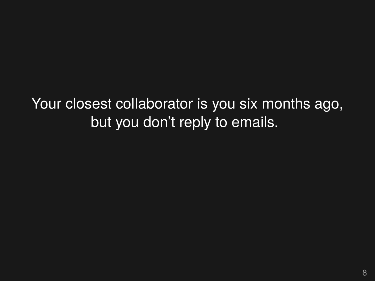Your closest collaborator is you six months ago, but you don't reply to emails.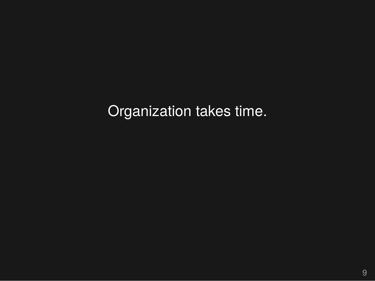Organization takes time.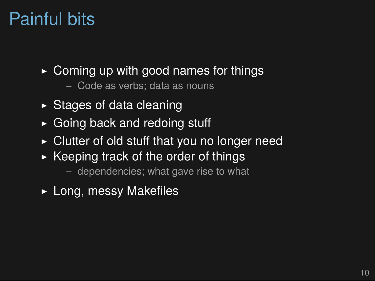#### Painful bits

- $\triangleright$  Coming up with good names for things
	- Code as verbs; data as nouns
- $\triangleright$  Stages of data cleaning
- ▶ Going back and redoing stuff
- $\triangleright$  Clutter of old stuff that you no longer need
- $\triangleright$  Keeping track of the order of things
	- dependencies; what gave rise to what
- ▶ Long, messy Makefiles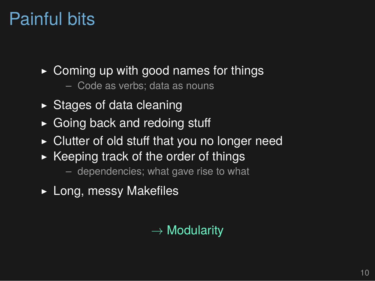#### Painful bits

- $\triangleright$  Coming up with good names for things
	- Code as verbs; data as nouns
- $\triangleright$  Stages of data cleaning
- ▶ Going back and redoing stuff
- $\triangleright$  Clutter of old stuff that you no longer need
- $\triangleright$  Keeping track of the order of things
	- dependencies; what gave rise to what
- ▶ Long, messy Makefiles

#### *→* Modularity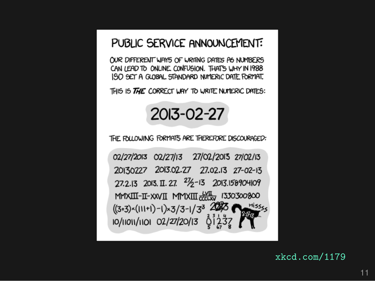#### PUBLIC SERVICE ANNOUNCEMENT:

OUR DIFFERENT WAYS OF WRITING DATES AS NUMBERS CAN LEAD TO ONLINE CONFUSION. THAT'S WHY IN 1988 ISO SET A GLOBAL STANDARD NUMERIC DATE FORMAT.

THIS IS THE CORRECT WAY TO WRITE NUMERIC DATES:



THE FOLLOWING FORMATS ARE THEREFORE DISCOURAGED:

02/27/2013 02/27/13 27/02/2013 27/02/13 20130227 2013.02.27 27.02.13 27-02-13 27.2.13 2013. II. 27.  $2\frac{1}{2}$ -13 2013.158904109 MMXIII-II-XXVII MMXIII doclxv 1330300800  $((3+3)\times(111+1)-1)\times 3/3-1/3^3$ <br>10/11011/1101 02/27/20/13 6 1 23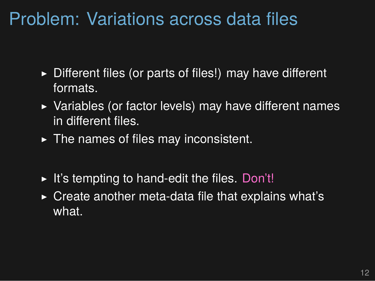#### Problem: Variations across data files

- ▶ Different files (or parts of files!) may have different formats.
- ▶ Variables (or factor levels) may have different names in different files.
- $\blacktriangleright$  The names of files may inconsistent.
- $\blacktriangleright$  It's tempting to hand-edit the files. Don't!
- $\triangleright$  Create another meta-data file that explains what's what.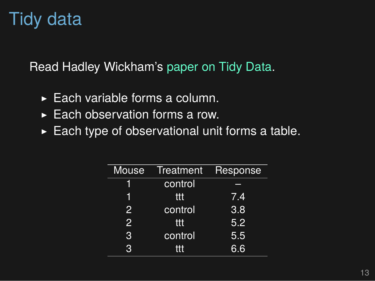# Tidy data

Read Hadley Wickham's paper on Tidy Data.

- ▶ Each variable forms a column.
- $\blacktriangleright$  Each observation forms a row.
- $\blacktriangleright$  Each type of observational unit forms a table.

| Mouse          | Treatment | Response         |
|----------------|-----------|------------------|
|                | control   |                  |
|                | ttt       | 7.4              |
| $\overline{2}$ | control   | $\overline{3.8}$ |
| $\overline{2}$ | ttt       | 5.2              |
| 3              | control   | 5.5              |
| 3              | ttt       | 6.6              |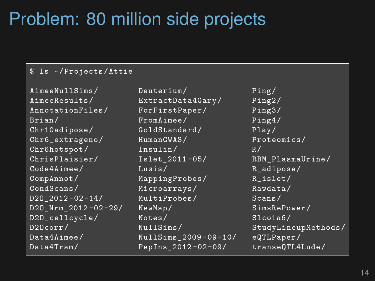#### Problem: 80 million side projects

#### \$ ls ~/Projects/Attie

```
AimeeResults/ ExtractData4Gary/ Ping2/
AnnotationFiles/ ForFirstPaper/
Brian/ FromAimee/ Ping4/
Chr10adipose/ GoldStandard/ Play/
Chr6_extrageno/ HumanGWAS/ Proteomics/
Chr6hotspot/ Insulin/ R/
ChrisPlaisier/ Islet_2011-05/ RBM_PlasmaUrine/
Code4Aimee/ Lusis/ R_adipose/
CompAnnot/ MappingProbes/ R_islet/
CondScans/ Microarrays/ Rawdata/<br>
D20 2012-02-14/ MultiProbes/ Scans/
D2O_2012 -02-14/ MultiProbes/ Scans/
D2O_Nrm_2012 -02-29/ NewMap/ SimsRePower/
D20_cellcycle/ Notes/ Slco1a6/
D2Ocorr/ NullSims/ StudyLineupMethods/
Data4Aimee/ NullSims_2009 -09-10/ eQTLPaper/
Data4Tram/ PepIns 2012-02-09/ transeQTL4Lude/
```
AimeeNullSims/ Deuterium/ Ping/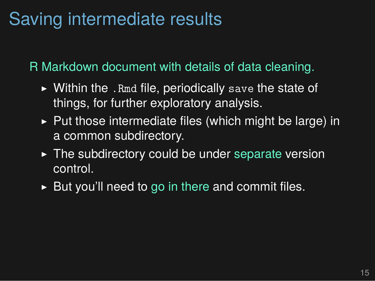#### Saving intermediate results

R Markdown document with details of data cleaning.

- $\triangleright$  Within the . Rmd file, periodically save the state of things, for further exploratory analysis.
- $\triangleright$  Put those intermediate files (which might be large) in a common subdirectory.
- $\triangleright$  The subdirectory could be under separate version control.
- $\triangleright$  But you'll need to go in there and commit files.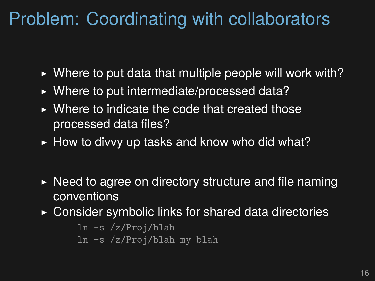#### Problem: Coordinating with collaborators

- $\triangleright$  Where to put data that multiple people will work with?
- ▶ Where to put intermediate/processed data?
- $\triangleright$  Where to indicate the code that created those processed data files?
- $\blacktriangleright$  How to divvy up tasks and know who did what?
- $\triangleright$  Need to agree on directory structure and file naming conventions
- ▶ Consider symbolic links for shared data directories

```
ln -s /z/Proj/blah
ln -s /z/Proj/blah my_blah
```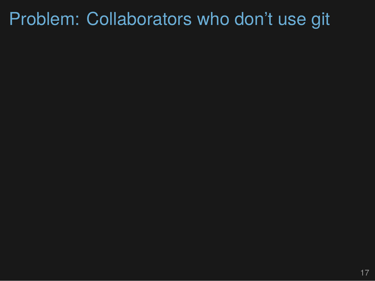# Problem: Collaborators who don't use git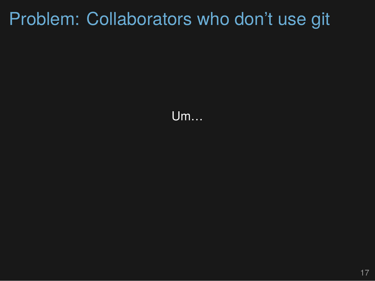## Problem: Collaborators who don't use git

Um…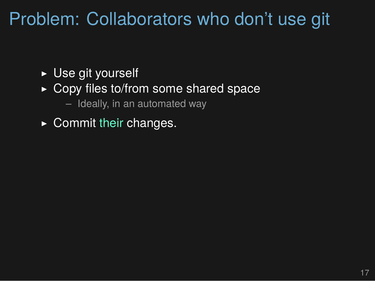#### Problem: Collaborators who don't use git

- ▶ Use git yourself
- ▶ Copy files to/from some shared space
	- Ideally, in an automated way
- $\triangleright$  Commit their changes.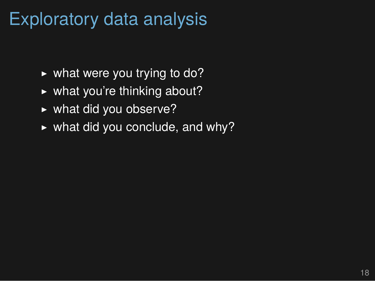#### Exploratory data analysis

- $\triangleright$  what were you trying to do?
- $\triangleright$  what you're thinking about?
- ▶ what did you observe?
- $\triangleright$  what did you conclude, and why?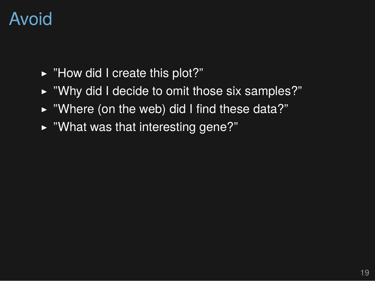#### Avoid

- ▶ "How did I create this plot?"
- ▶ "Why did I decide to omit those six samples?"
- $\triangleright$  "Where (on the web) did I find these data?"
- $\blacktriangleright$  "What was that interesting gene?"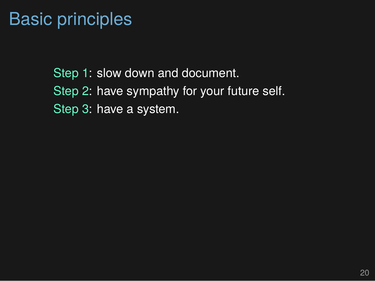#### Basic principles

Step 1: slow down and document. Step 2: have sympathy for your future self. Step 3: have a system.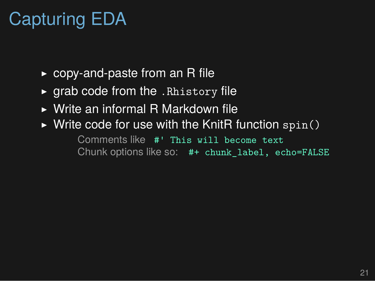# Capturing EDA

- $\rightarrow$  copy-and-paste from an R file
- $\rightarrow$  grab code from the . Rhistory file
- ▶ Write an informal R Markdown file
- $\triangleright$  Write code for use with the KnitR function spin()

Comments like #' This will become text Chunk options like so: #+ chunk\_label, echo=FALSE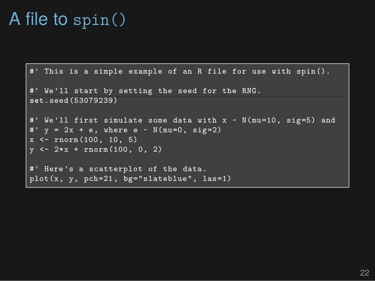#### A file to spin()

```
#' This is a simple example of an R file for use with spin().
#' We'll start by setting the seed for the RNG.
set.seed(53079239)
#' We'll first simulate some data with x ~ N(mu=10, sig=5) and
#' y = 2x + e, where e \sim N(mu=0, sig=2)x <- rnorm(100, 10, 5)
y \leftarrow 2*x + \text{norm}(100, 0, 2)#' Here's a scatterplot of the data.
plot(x, y, pch=21, bg="slateblue", las=1)
```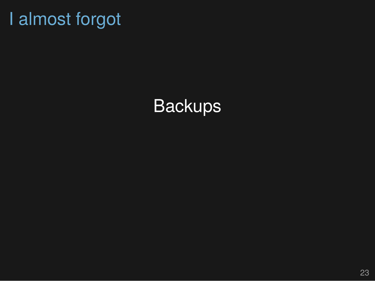## I almost forgot

## **Backups**